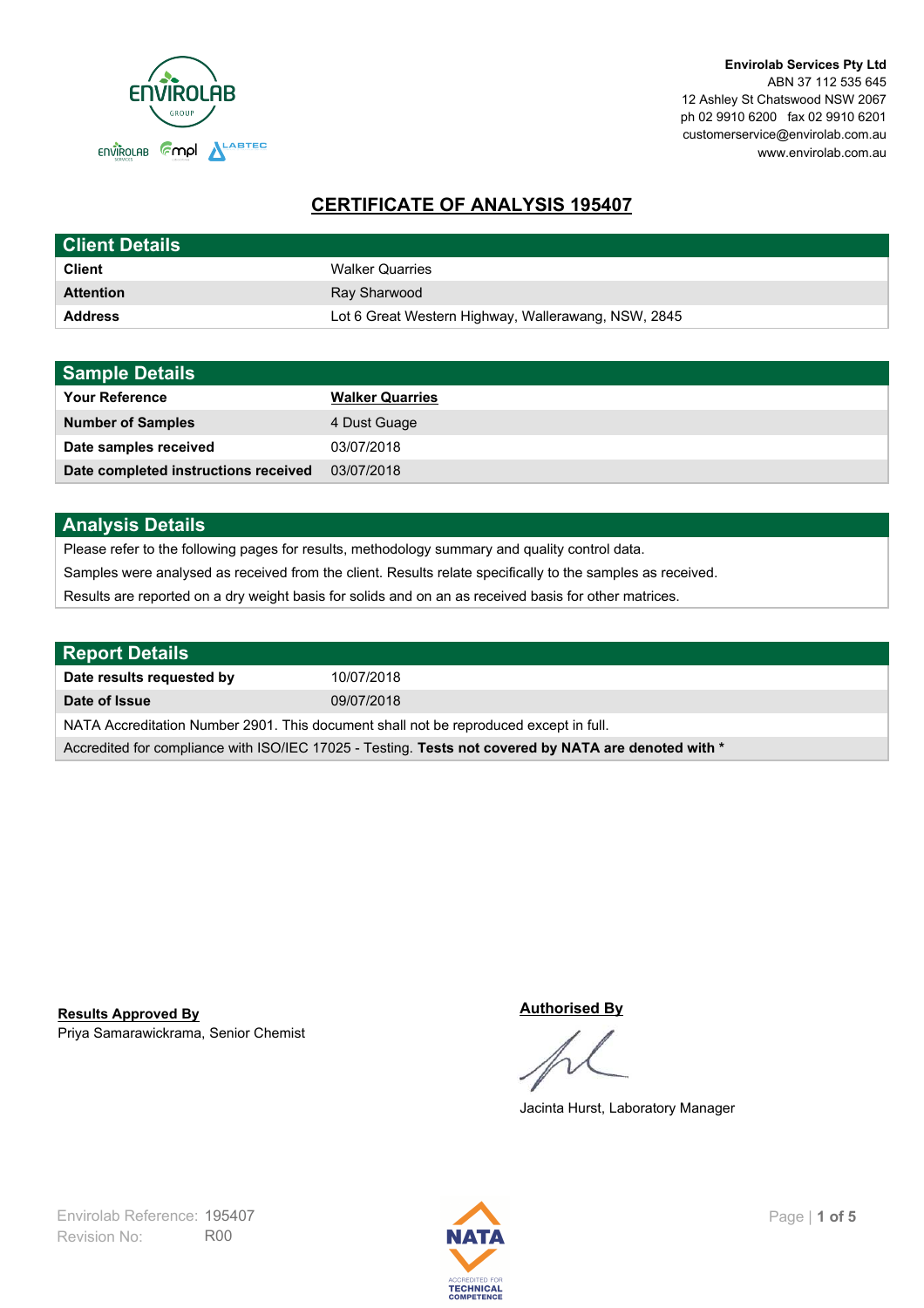

# **CERTIFICATE OF ANALYSIS 195407**

| <b>Client Details</b> |                                                     |
|-----------------------|-----------------------------------------------------|
| <b>Client</b>         | <b>Walker Quarries</b>                              |
| <b>Attention</b>      | Ray Sharwood                                        |
| <b>Address</b>        | Lot 6 Great Western Highway, Wallerawang, NSW, 2845 |

| <b>Sample Details</b>                |                        |
|--------------------------------------|------------------------|
| <b>Your Reference</b>                | <b>Walker Quarries</b> |
| <b>Number of Samples</b>             | 4 Dust Guage           |
| Date samples received                | 03/07/2018             |
| Date completed instructions received | 03/07/2018             |

## **Analysis Details**

Please refer to the following pages for results, methodology summary and quality control data.

Samples were analysed as received from the client. Results relate specifically to the samples as received.

Results are reported on a dry weight basis for solids and on an as received basis for other matrices.

| <b>Report Details</b>                                                                                |            |  |
|------------------------------------------------------------------------------------------------------|------------|--|
| Date results requested by                                                                            | 10/07/2018 |  |
| Date of Issue                                                                                        | 09/07/2018 |  |
| NATA Accreditation Number 2901. This document shall not be reproduced except in full.                |            |  |
| Accredited for compliance with ISO/IEC 17025 - Testing. Tests not covered by NATA are denoted with * |            |  |

Priya Samarawickrama, Senior Chemist **Results Approved By**

#### **Authorised By**

Jacinta Hurst, Laboratory Manager

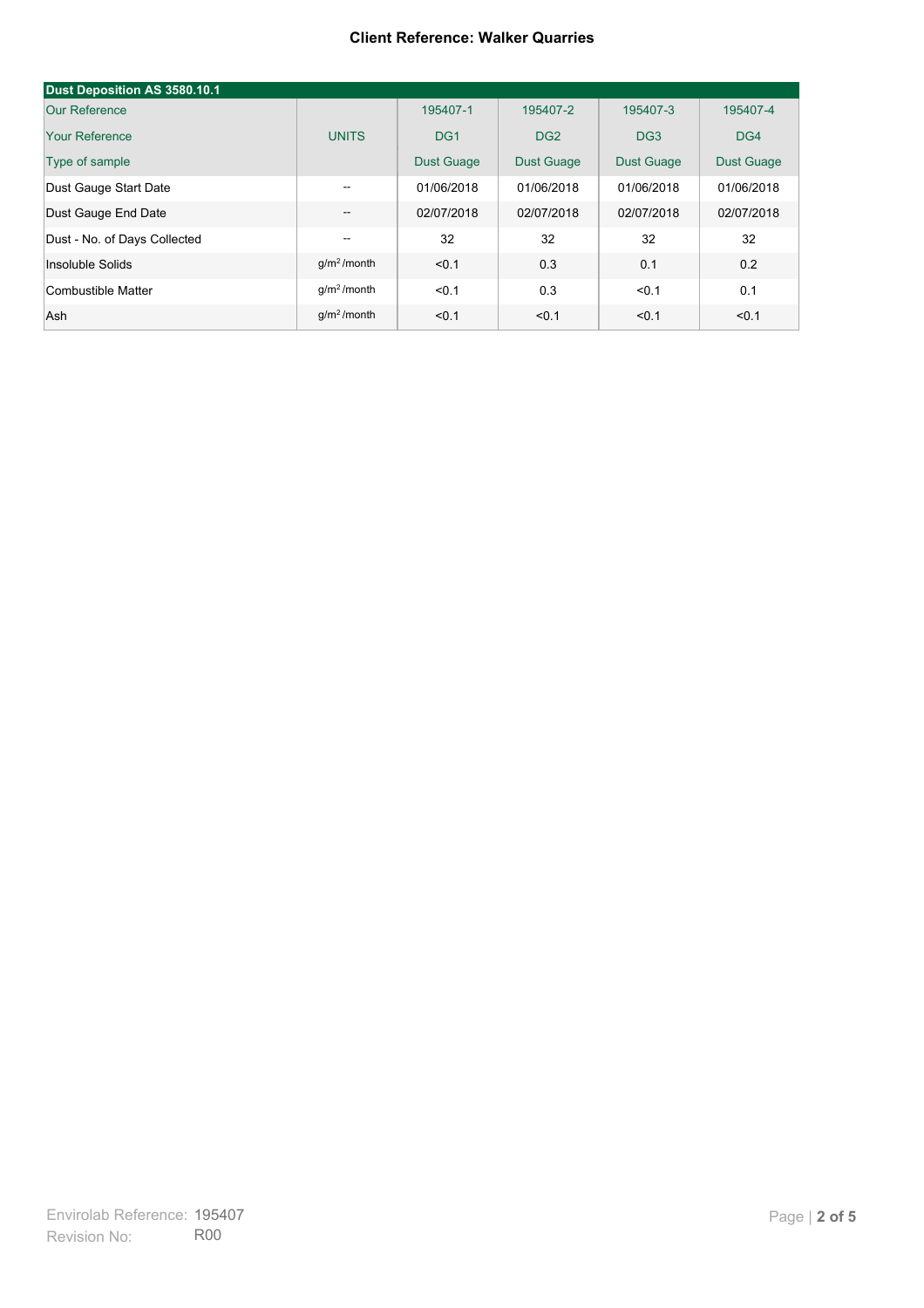#### **Client Reference: Walker Quarries**

| Dust Deposition AS 3580.10.1 |               |                   |                   |                   |                   |
|------------------------------|---------------|-------------------|-------------------|-------------------|-------------------|
| Our Reference                |               | 195407-1          | 195407-2          | 195407-3          | 195407-4          |
| Your Reference               | <b>UNITS</b>  | DG <sub>1</sub>   | DG <sub>2</sub>   | DG <sub>3</sub>   | DG4               |
| Type of sample               |               | <b>Dust Guage</b> | <b>Dust Guage</b> | <b>Dust Guage</b> | <b>Dust Guage</b> |
| Dust Gauge Start Date        | $- -$         | 01/06/2018        | 01/06/2018        | 01/06/2018        | 01/06/2018        |
| Dust Gauge End Date          | --            | 02/07/2018        | 02/07/2018        | 02/07/2018        | 02/07/2018        |
| Dust - No. of Days Collected | --            | 32                | 32                | 32                | 32                |
| Insoluble Solids             | $q/m2$ /month | < 0.1             | 0.3               | 0.1               | 0.2               |
| Combustible Matter           | $q/m2$ /month | < 0.1             | 0.3               | < 0.1             | 0.1               |
| Ash                          | $q/m2$ /month | < 0.1             | < 0.1             | < 0.1             | < 0.1             |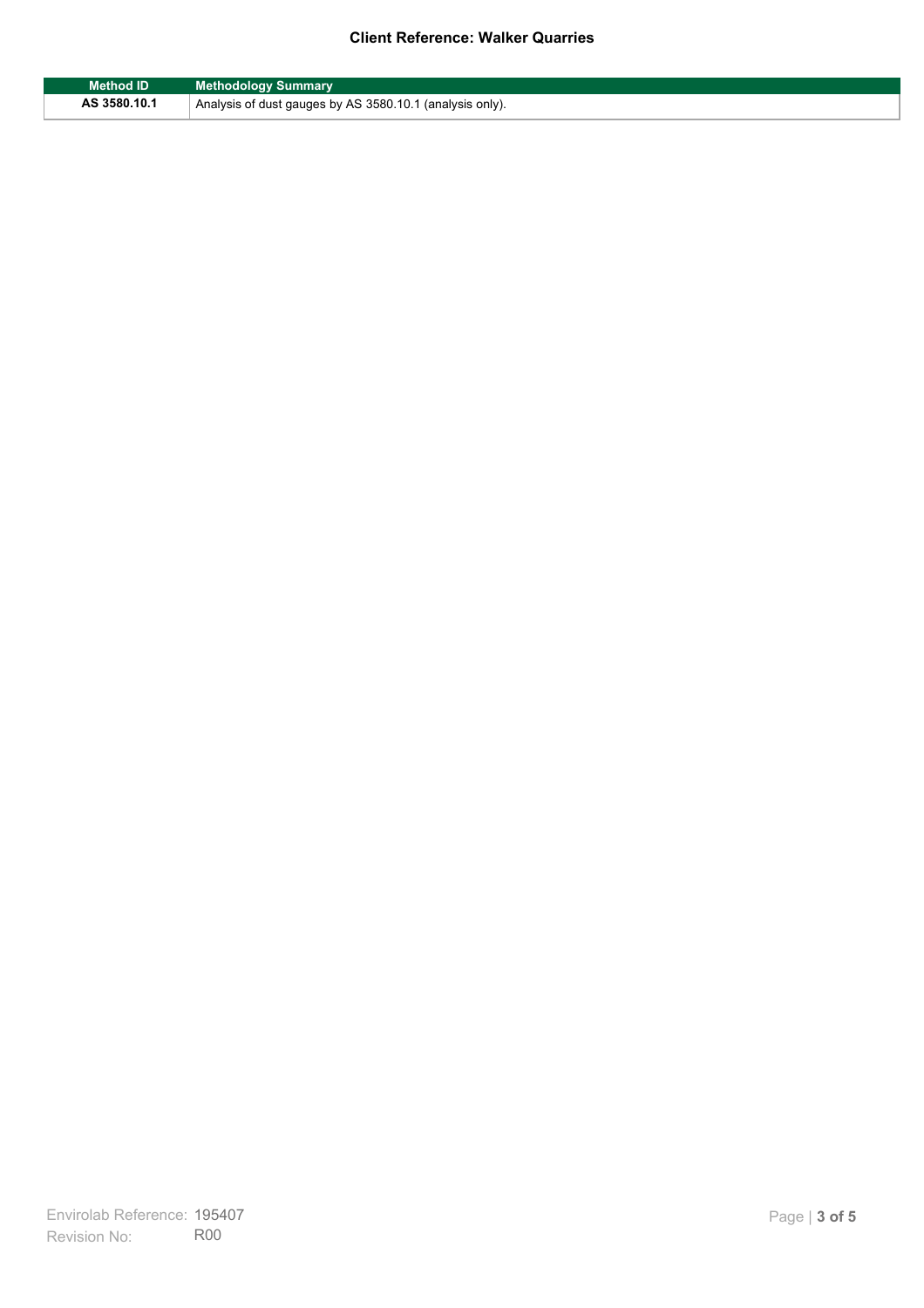### **Client Reference: Walker Quarries**

| Method ID    | <b>Methodology Summary</b>                               |
|--------------|----------------------------------------------------------|
| AS 3580.10.1 | Analysis of dust gauges by AS 3580.10.1 (analysis only). |

F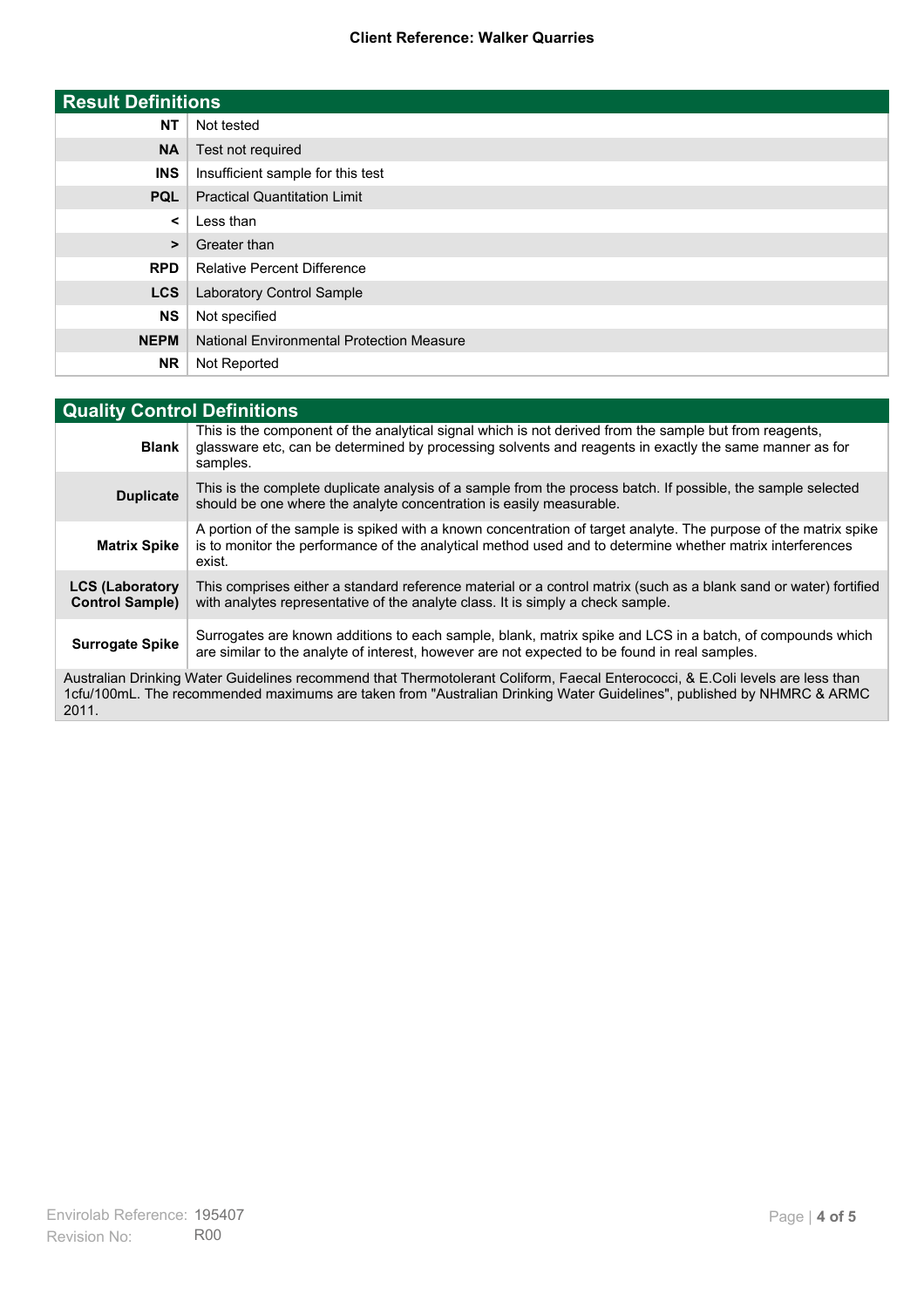### **Client Reference: Walker Quarries**

| <b>Result Definitions</b> |                                                  |
|---------------------------|--------------------------------------------------|
| <b>NT</b>                 | Not tested                                       |
| <b>NA</b>                 | Test not required                                |
| <b>INS</b>                | Insufficient sample for this test                |
| <b>PQL</b>                | <b>Practical Quantitation Limit</b>              |
| $\prec$                   | Less than                                        |
| >                         | Greater than                                     |
| <b>RPD</b>                | <b>Relative Percent Difference</b>               |
| <b>LCS</b>                | Laboratory Control Sample                        |
| <b>NS</b>                 | Not specified                                    |
| <b>NEPM</b>               | <b>National Environmental Protection Measure</b> |
| <b>NR</b>                 | Not Reported                                     |

| <b>Quality Control Definitions</b>                                                                                                                                                                                                                      |                                                                                                                                                                                                                                        |  |
|---------------------------------------------------------------------------------------------------------------------------------------------------------------------------------------------------------------------------------------------------------|----------------------------------------------------------------------------------------------------------------------------------------------------------------------------------------------------------------------------------------|--|
| <b>Blank</b>                                                                                                                                                                                                                                            | This is the component of the analytical signal which is not derived from the sample but from reagents.<br>glassware etc, can be determined by processing solvents and reagents in exactly the same manner as for<br>samples.           |  |
| <b>Duplicate</b>                                                                                                                                                                                                                                        | This is the complete duplicate analysis of a sample from the process batch. If possible, the sample selected<br>should be one where the analyte concentration is easily measurable.                                                    |  |
| <b>Matrix Spike</b>                                                                                                                                                                                                                                     | A portion of the sample is spiked with a known concentration of target analyte. The purpose of the matrix spike<br>is to monitor the performance of the analytical method used and to determine whether matrix interferences<br>exist. |  |
| <b>LCS (Laboratory</b><br><b>Control Sample)</b>                                                                                                                                                                                                        | This comprises either a standard reference material or a control matrix (such as a blank sand or water) fortified<br>with analytes representative of the analyte class. It is simply a check sample.                                   |  |
| <b>Surrogate Spike</b>                                                                                                                                                                                                                                  | Surrogates are known additions to each sample, blank, matrix spike and LCS in a batch, of compounds which<br>are similar to the analyte of interest, however are not expected to be found in real samples.                             |  |
| Australian Drinking Water Guidelines recommend that Thermotolerant Coliform, Faecal Enterococci, & E.Coli levels are less than<br>1cfu/100mL. The recommended maximums are taken from "Australian Drinking Water Guidelines", published by NHMRC & ARMC |                                                                                                                                                                                                                                        |  |

2011.